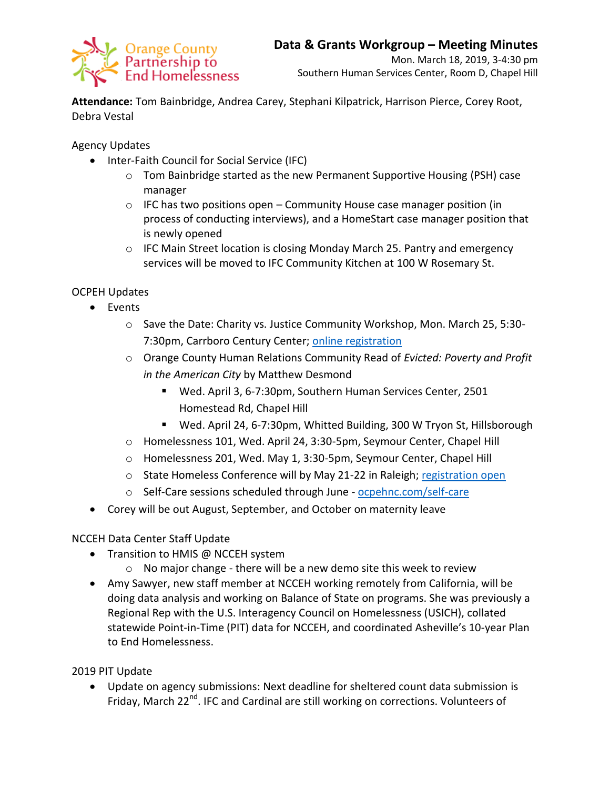

**Attendance:** Tom Bainbridge, Andrea Carey, Stephani Kilpatrick, Harrison Pierce, Corey Root, Debra Vestal

Agency Updates

- Inter-Faith Council for Social Service (IFC)
	- o Tom Bainbridge started as the new Permanent Supportive Housing (PSH) case manager
	- $\circ$  IFC has two positions open Community House case manager position (in process of conducting interviews), and a HomeStart case manager position that is newly opened
	- $\circ$  IFC Main Street location is closing Monday March 25. Pantry and emergency services will be moved to IFC Community Kitchen at 100 W Rosemary St.

## OCPEH Updates

- Events
	- o Save the Date: Charity vs. Justice Community Workshop, Mon. March 25, 5:30- 7:30pm, Carrboro Century Center; [online registration](https://docs.google.com/forms/d/e/1FAIpQLSc_S7hmJYHep0VTBPdueLPGomGlAimRLdzbUVgr5k2pYErO6g/viewform?fbclid=IwAR2dRawsoFJHxM9O71e9i5wL82qkLaC_9VF4WuEDmpw6NWvJDo2qUMaY18k)
	- o Orange County Human Relations Community Read of *Evicted: Poverty and Profit in the American City* by Matthew Desmond
		- Wed. April 3, 6-7:30pm, Southern Human Services Center, 2501 Homestead Rd, Chapel Hill
		- Wed. April 24, 6-7:30pm, Whitted Building, 300 W Tryon St, Hillsborough
	- o Homelessness 101, Wed. April 24, 3:30-5pm, Seymour Center, Chapel Hill
	- o Homelessness 201, Wed. May 1, 3:30-5pm, Seymour Center, Chapel Hill
	- o State Homeless Conference will by May 21-22 in Raleigh; [registration open](https://www3.thedatabank.com/dpg/217/donate.asp?formid=HomelessConf19)
	- o Self-Care sessions scheduled through June [ocpehnc.com/self-care](https://www.ocpehnc.com/self-care)
- Corey will be out August, September, and October on maternity leave

## NCCEH Data Center Staff Update

- Transition to HMIS @ NCCEH system
	- o No major change there will be a new demo site this week to review
- Amy Sawyer, new staff member at NCCEH working remotely from California, will be doing data analysis and working on Balance of State on programs. She was previously a Regional Rep with the U.S. Interagency Council on Homelessness (USICH), collated statewide Point-in-Time (PIT) data for NCCEH, and coordinated Asheville's 10-year Plan to End Homelessness.

2019 PIT Update

 Update on agency submissions: Next deadline for sheltered count data submission is Friday, March 22<sup>nd</sup>. IFC and Cardinal are still working on corrections. Volunteers of